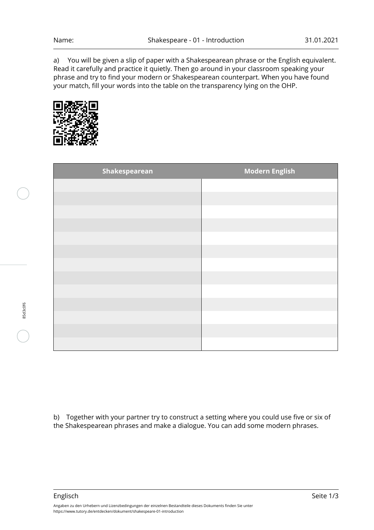a) You will be given a slip of paper with a Shakespearean phrase or the English equivalent. Read it carefully and practice it quietly. Then go around in your classroom speaking your phrase and try to find your modern or Shakespearean counterpart. When you have found your match, fill your words into the table on the transparency lying on the OHP.



| Shakespearean | <b>Modern English</b> |
|---------------|-----------------------|
|               |                       |
|               |                       |
|               |                       |
|               |                       |
|               |                       |
|               |                       |
|               |                       |
|               |                       |
|               |                       |
|               |                       |
|               |                       |
|               |                       |
|               |                       |

b) Together with your partner try to construct a setting where you could use five or six of the Shakespearean phrases and make a dialogue. You can add some modern phrases.

Englisch Seite 1/3

85d3c0f6

Angaben zu den Urhebern und Lizenzbedingungen der einzelnen Bestandteile dieses Dokuments finden Sie unter https://www.tutory.de/entdecken/dokument/shakespeare-01-introduction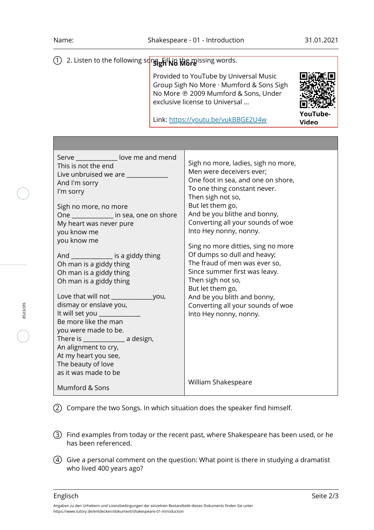**YouTube-**

## 1)2. Listen to the following so<mark>ng.<sub>B</sub>illNa More</mark>issing words.

Provided to YouTube by Universal Music Group Sigh No More · Mumford & Sons Sigh No More ℗ 2009 Mumford & Sons, Under exclusive license to Universal ...

**Video** Link: [https://youtu.be/vukBBGE2U4w](https://www.youtube-nocookie.com/embed/vukBBGE2U4w)

| Serve _______________ love me and mend<br>This is not the end<br>Live unbruised we are<br>And I'm sorry<br>I'm sorry<br>Sigh no more, no more<br>One ______________ in sea, one on shore<br>My heart was never pure<br>you know me<br>you know me<br>And _______________ is a giddy thing<br>Oh man is a giddy thing<br>Oh man is a giddy thing<br>Oh man is a giddy thing<br>dismay or enslave you,<br>It will set you ____________<br>Be more like the man<br>you were made to be.<br>There is ______________________ a design, | Sigh no more, ladies, sigh no more,<br>Men were deceivers ever:<br>One foot in sea, and one on shore,<br>To one thing constant never.<br>Then sigh not so,<br>But let them go,<br>And be you blithe and bonny,<br>Converting all your sounds of woe<br>Into Hey nonny, nonny.<br>Sing no more ditties, sing no more<br>Of dumps so dull and heavy;<br>The fraud of men was ever so,<br>Since summer first was leavy.<br>Then sigh not so,<br>But let them go,<br>And be you blith and bonny,<br>Converting all your sounds of woe<br>Into Hey nonny, nonny. |
|-----------------------------------------------------------------------------------------------------------------------------------------------------------------------------------------------------------------------------------------------------------------------------------------------------------------------------------------------------------------------------------------------------------------------------------------------------------------------------------------------------------------------------------|-------------------------------------------------------------------------------------------------------------------------------------------------------------------------------------------------------------------------------------------------------------------------------------------------------------------------------------------------------------------------------------------------------------------------------------------------------------------------------------------------------------------------------------------------------------|
| An alignment to cry,<br>At my heart you see,<br>The beauty of love<br>as it was made to be                                                                                                                                                                                                                                                                                                                                                                                                                                        | William Shakespeare                                                                                                                                                                                                                                                                                                                                                                                                                                                                                                                                         |
| Mumford & Sons                                                                                                                                                                                                                                                                                                                                                                                                                                                                                                                    |                                                                                                                                                                                                                                                                                                                                                                                                                                                                                                                                                             |

2 Compare the two Songs. In which situation does the speaker find himself.

- 3 Find examples from today or the recent past, where Shakespeare has been used, or he has been referenced.
- 4 Give a personal comment on the question: What point is there in studying a dramatist who lived 400 years ago?

85d3c0f6